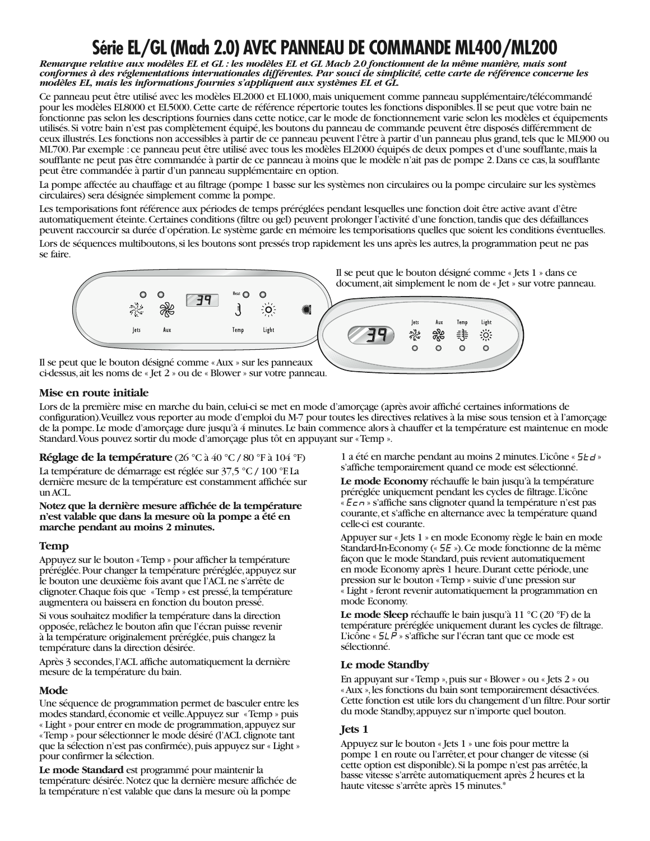# Série EL/GL (Mach 2.0) AVEC PANNEAU DE COMMANDE ML400/ML200

Remarque relative aux modèles EL et GL : les modèles EL et GL Mach 2.0 fonctionnent de la même manière, mais sont conformes à des réglementations internationales différentes. Par souci de simplicité, cette carte de référence concerne les modèles EL, mais les informations fournies s'appliquent aux systèmes EL et GL.

Ce panneau peut être utilisé avec les modèles EL2000 et EL1000, mais uniquement comme panneau supplémentaire/télécommandé pour les modèles EL8000 et EL5000. Cette carte de référence répertorie toutes les fonctions disponibles. Il se peut que votre bain ne fonctionne pas selon les descriptions fournies dans cette notice, car le mode de fonctionnement varie selon les modèles et équipements utilisés. Si votre bain n'est pas complètement équipé, les boutons du panneau de commande peuvent être disposés différemment de ceux illustrés. Les fonctions non accessibles à partir de ce panneau peuvent l'être à partir d'un panneau plus grand, tels que le ML900 ou ML700. Par exemple : ce panneau peut être utilisé avec tous les modèles EL2000 équipés de deux pompes et d'une soufflante, mais la soufflante ne peut pas être commandée à partir de ce panneau à moins que le modèle n'ait pas de pompe 2. Dans ce cas, la soufflante peut être commandée à partir d'un panneau supplémentaire en option.

La pompe affectée au chauffage et au filtrage (pompe 1 basse sur les systèmes non circulaires ou la pompe circulaire sur les systèmes circulaires) sera désignée simplement comme la pompe.

Les temporisations font référence aux périodes de temps préréglées pendant lesquelles une fonction doit être active avant d'être automatiquement éteinte. Certaines conditions (filtre ou gel) peuvent prolonger l'activité d'une fonction, tandis que des défaillances peuvent raccourcir sa durée d'opération. Le système garde en mémoire les temporisations quelles que soient les conditions éventuelles. Lors de séquences multiboutons, si les boutons sont pressés trop rapidement les uns après les autres, la programmation peut ne pas





Il se peut que le bouton désigné comme «Aux » sur les panneaux ci-dessus, ait les noms de « Jet 2 » ou de « Blower » sur votre panneau.

#### Mise en route initiale

Lors de la première mise en marche du bain, celui-ci se met en mode d'amorçage (après avoir affiché certaines informations de configuration). Veuillez vous reporter au mode d'emploi du M-7 pour toutes les directives relatives à la mise sous tension et à l'amorcage de la pompe. Le mode d'amorcage dure jusqu'à 4 minutes. Le bain commence alors à chauffer et la température est maintenue en mode Standard. Vous pouvez sortir du mode d'amorçage plus tôt en appuyant sur «Temp ».

**Réglage de la température** (26 °C à 40 °C / 80 °F à 104 °F)

La température de démarrage est réglée sur 37,5 °C / 100 °F. La dernière mesure de la température est constamment affichée sur un ACL.

Notez que la dernière mesure affichée de la température n'est valable que dans la mesure où la pompe a été en marche pendant au moins 2 minutes.

#### **Temp**

Appuyez sur le bouton «Temp » pour afficher la température préréglée. Pour changer la température préréglée, appuyez sur le bouton une deuxième fois avant que l'ACL ne s'arrête de clignoter. Chaque fois que «Temp » est pressé, la température augmentera ou baissera en fonction du bouton pressé.

Si vous souhaitez modifier la température dans la direction opposée, relâchez le bouton afin que l'écran puisse revenir à la température originalement préréglée, puis changez la température dans la direction désirée.

Après 3 secondes, l'ACL affiche automatiquement la dernière mesure de la température du bain.

#### Mode

Une séquence de programmation permet de basculer entre les modes standard, économie et veille. Appuyez sur «Temp » puis « Light » pour entrer en mode de programmation, appuyez sur «Temp » pour sélectionner le mode désiré (l'ACL clignote tant que la sélection n'est pas confirmée), puis appuyez sur « Light » pour confirmer la sélection.

Le mode Standard est programmé pour maintenir la température désirée. Notez que la dernière mesure affichée de la température n'est valable que dans la mesure où la pompe

1 a été en marche pendant au moins 2 minutes. L'icône « 5 E d » s'affiche temporairement quand ce mode est sélectionné.

Le mode Economy réchauffe le bain jusqu'à la température préréglée uniquement pendant les cycles de filtrage. L'icône «  $E \in \overline{P}$  » s'affiche sans clignoter quand la température n'est pas courante, et s'affiche en alternance avec la température quand celle-ci est courante.

Appuyer sur « Jets 1 » en mode Economy règle le bain en mode Standard-In-Economy (« 5E »). Ce mode fonctionne de la même façon que le mode Standard, puis revient automatiquement en mode Economy après 1 heure. Durant cette période, une pression sur le bouton «Temp » suivie d'une pression sur « Light » feront revenir automatiquement la programmation en mode Economy.

Le mode Sleep réchauffe le bain jusqu'à 11 °C (20 °F) de la température préréglée uniquement durant les cycles de filtrage. L'icône «  $5L\overline{P}$  » s'affiche sur l'écran tant que ce mode est sélectionné.

#### Le mode Standby

En appuyant sur «Temp », puis sur « Blower » ou « Jets 2 » ou «Aux », les fonctions du bain sont temporairement désactivées. Cette fonction est utile lors du changement d'un filtre. Pour sortir du mode Standby, appuyez sur n'importe quel bouton.

#### Jets 1

Appuyez sur le bouton « Jets 1 » une fois pour mettre la pompe 1 en route ou l'arrêter, et pour changer de vitesse (si cette option est disponible). Si la pompe n'est pas arrêtée, la basse vitesse s'arrête automatiquement après 2 heures et la haute vitesse s'arrête après 15 minutes.\*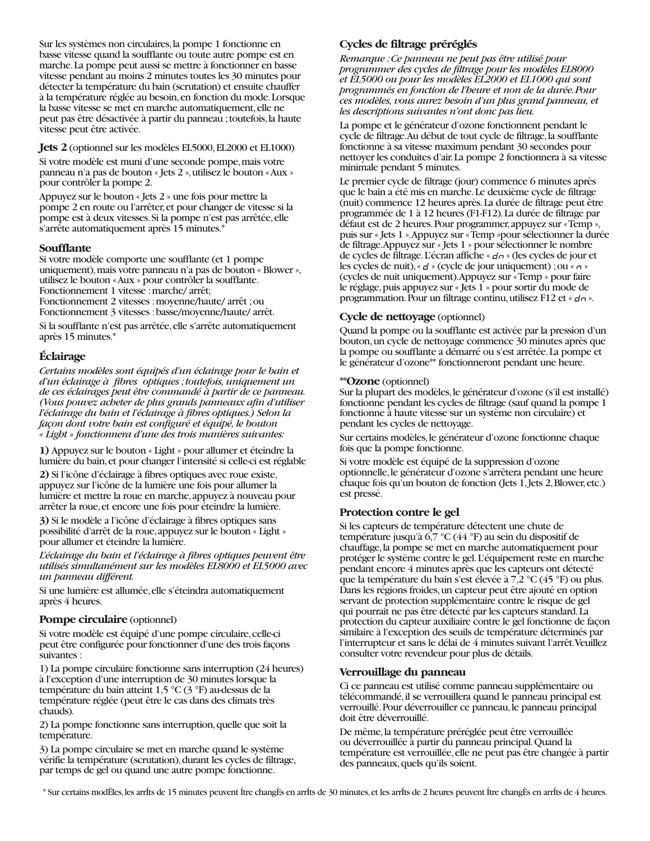Sur les systèmes non circulaires, la pompe 1 fonctionne en basse vitesse quand la soufflante ou toute autre pompe est en marche. La pompe peut aussi se mettre à fonctionner en basse vitesse pendant au moins 2 minutes toutes les 30 minutes pour détecter la température du bain (scrutation) et ensuite chauffer à la température réglée au besoin, en fonction du mode. Lorsque la basse vitesse se met en marche automatiquement, elle ne peut pas être désactivée à partir du panneau ; toutefois, la haute vitesse peut être activée.

#### **Jets 2** (optionnel sur les modèles EL5000, EL2000 et EL1000)

Si votre modèle est muni d'une seconde pompe, mais votre panneau n'a pas de bouton « Jets 2 », utilisez le bouton « Aux » pour contrôler la pompe 2.

Appuyez sur le bouton « Jets 2 » une fois pour mettre la pompe 2 en route ou l'arrêter, et pour changer de vitesse si la pompe est à deux vitesses. Si la pompe n'est pas arrêtée, elle s'arrête automatiquement après 15 minutes.\*

#### Soufflante

Si votre modèle comporte une soufflante (et 1 pompe uniquement), mais votre panneau n'a pas de bouton « Blower », utilisez le bouton «Aux » pour contrôler la soufflante. Fonctionnement 1 vitesse : marche/ arrêt; Fonctionnement 2 vitesses : moyenne/haute/ arrêt ; ou

Fonctionnement 3 vitesses : basse/moyenne/haute/ arrêt.

Si la soufflante n'est pas arrêtée, elle s'arrête automatiquement après 15 minutes.\*

### **Éclairage**

Certains modèles sont équipés d'un éclairage pour le bain et d'un éclairage à fibres optiques ; toutefois, uniquement un de ces éclairages peut être commandé à partir de ce panneau. (Vous pouvez acheter de plus grands panneaux afin d'utiliser l'éclairage du bain et l'éclairage à fibres optiques.) Selon la façon dont votre bain est configuré et équipé, le bouton « Light » fonctionnera d'une des trois manières suivantes:

1) Appuyez sur le bouton « Light » pour allumer et éteindre la lumière du bain, et pour changer l'intensité si celle-ci est réglable

2) Si l'icône d'éclairage à fibres optiques avec roue existe, appuyez sur l'icône de la lumière une fois pour allumer la lumière et mettre la roue en marche, appuyez à nouveau pour arrêter la roue, et encore une fois pour éteindre la lumière.

3) Si le modèle a l'icône d'éclairage à fibres optiques sans possibilité d'arrêt de la roue, appuyez sur le bouton « Light » pour allumer et éteindre la lumière.

L'éclairage du bain et l'éclairage à fibres optiques peuvent être utilisés simultanément sur les modèles EL8000 et EL5000 avec un panneau différent.

Si une lumière est allumée, elle s'éteindra automatiquement après 4 heures.

#### **Pompe circulaire** (optionnel)

Si votre modèle est équipé d'une pompe circulaire, celle-ci peut être configurée pour fonctionner d'une des trois façons suivantes :

1) La pompe circulaire fonctionne sans interruption (24 heures) à l'exception d'une interruption de 30 minutes lorsque la température du bain atteint 1,5 °C (3 °F) au-dessus de la température réglée (peut être le cas dans des climats très chauds).

2) La pompe fonctionne sans interruption, quelle que soit la température.

3) La pompe circulaire se met en marche quand le système vérifie la température (scrutation), durant les cycles de filtrage, par temps de gel ou quand une autre pompe fonctionne.

## Cycles de filtrage préréglés

Remarque : Ce panneau ne peut pas être utilisé pour programmer des cycles de filtrage pour les modèles EL8000 et EL5000 ou pour les modèles EL2000 et EL1000 qui sont programmés en fonction de l'heure et non de la durée. Pour ces modèles, vous aurez besoin d'un plus grand panneau, et les descriptions suivantes n'ont donc pas lieu.

La pompe et le générateur d'ozone fonctionnent pendant le cycle de filtrage. Au début de tout cycle de filtrage, la soufflante fonctionne à sa vitesse maximum pendant 30 secondes pour nettoyer les conduites d'air. La pompe 2 fonctionnera à sa vitesse minimale pendant 5 minutes.

Le premier cycle de filtrage (jour) commence 6 minutes après que le bain a été mis en marche. Le deuxième cycle de filtrage (nuit) commence 12 heures après. La durée de filtrage peut être programmée de 1 à 12 heures (F1-F12). La durée de filtrage par défaut est de 2 heures. Pour programmer, appuyez sur «Temp », puis sur « Jets 1 ». Appuyez sur « Temp »pour sélectionner la durée de filtrage. Appuyez sur « Jets 1 » pour sélectionner le nombre de cycles de filtrage. L'écran affiche « d n » (les cycles de jour et les cycles de nuit), «  $d$  » (cycle de jour uniquement) ; ou «  $\sigma$  » (cycles de nuit uniquement). Appuyez sur «Temp » pour faire le réglage, puis appuyez sur « Jets 1 » pour sortir du mode de programmation. Pour un filtrage continu, utilisez F12 et « dn ».

#### **Cycle de nettovage** (optionnel)

Ouand la pompe ou la soufflante est activée par la pression d'un bouton, un cycle de nettoyage commence 30 minutes après que la pompe ou soufflante a démarré ou s'est arrêtée. La pompe et le générateur d'ozone<sup>\*\*</sup> fonctionneront pendant une heure.

#### \*\*Ozone (optionnel)

Sur la plupart des modèles, le générateur d'ozone (s'il est installé) fonctionne pendant les cycles de filtrage (sauf quand la pompe 1 fonctionne à haute vitesse sur un système non circulaire) et pendant les cycles de nettoyage.

Sur certains modèles, le générateur d'ozone fonctionne chaque fois que la pompe fonctionne.

Si votre modèle est équipé de la suppression d'ozone optionnelle, le générateur d'ozone s'arrêtera pendant une heure chaque fois qu'un bouton de fonction (Jets 1, Jets 2, Blower, etc.) est pressé.

#### Protection contre le gel

Si les capteurs de température détectent une chute de température jusqu'à 6,7 °C (44 °F) au sein du dispositif de chauffage, la pompe se met en marche automatiquement pour protéger le système contre le gel. L'équipement reste en marche pendant encore 4 minutes après que les capteurs ont détecté que la température du bain s'est élevée à 7,2 °C (45 °F) ou plus. Dans les régions froides, un capteur peut être ajouté en option servant de protection supplémentaire contre le risque de gel qui pourrait ne pas être détecté par les capteurs standard. La protection du capteur auxiliaire contre le gel fonctionne de façon similaire à l'exception des seuils de température déterminés par l'interrupteur et sans le délai de 4 minutes suivant l'arrêt. Veuillez consulter votre revendeur pour plus de détails.

#### Verrouillage du panneau

Ci ce panneau est utilisé comme panneau supplémentaire ou télécommandé, il se verrouillera quand le panneau principal est verrouillé. Pour déverrouiller ce panneau, le panneau principal doit être déverrouillé.

De même, la température préréglée peut être verrouillée ou déverrouillée à partir du panneau principal. Quand la température est verrouillée, elle ne peut pas être changée à partir des panneaux, quels qu'ils soient.

\* Sur certains modEles, les arrits de 15 minutes peuvent Itre changEs en arrits de 30 minutes, et les arrits de 2 heures peuvent Itre changEs en arrits de 4 heures.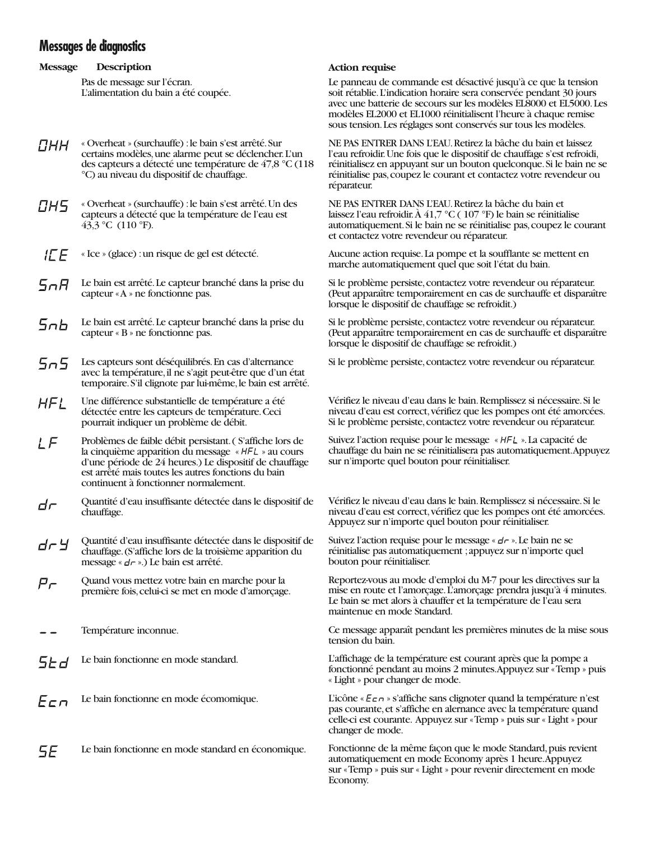# Messages de diagnostics

#### **Message Description**

Pas de message sur l'écran. L'alimentation du bain a été coupée.

- « Overheat » (surchauffe) : le bain s'est arrêté. Sur ПНН certains modèles, une alarme peut se déclencher. L'un des capteurs a détecté une température de 47,8 °C (118 °C) au niveau du dispositif de chauffage.
- « Overheat » (surchauffe) : le bain s'est arrêté. Un des ПН5 capteurs a détecté que la température de l'eau est 43,3 °C (110 °F).
- $H F$ « Ice » (glace) : un risque de gel est détecté.
- Le bain est arrêté. Le capteur branché dans la prise du Sofi capteur «A » ne fonctionne pas.
- Le bain est arrêté. Le capteur branché dans la prise du 5ob. capteur « B » ne fonctionne pas.
- Les capteurs sont déséquilibrés. En cas d'alternance Sn5. avec la température, il ne s'agit peut-être que d'un état temporaire. S'il clignote par lui-même, le bain est arrêté.
- **HFL** Une différence substantielle de température a été détectée entre les capteurs de température. Ceci pourrait indiquer un problème de débit.
- Problèmes de faible débit persistant. (S'affiche lors de LF la cinquième apparition du message « HFL » au cours d'une période de 24 heures.) Le dispositif de chauffage est arrêté mais toutes les autres fonctions du bain continuent à fonctionner normalement.
- Quantité d'eau insuffisante détectée dans le dispositif de dr chauffage.
- Quantité d'eau insuffisante détectée dans le dispositif de dr Y chauffage. (S'affiche lors de la troisième apparition du message «  $d\tau$  ».) Le bain est arrêté.
- Quand vous mettez votre bain en marche pour la  $P_{\mathcal{F}}$ première fois, celui-ci se met en mode d'amorçage.
- Température inconnue.
- Le bain fonctionne en mode standard. 5Ed
- $E$ cn Le bain fonctionne en mode écomomique.
- 5E Le bain fonctionne en mode standard en économique.

#### **Action requise**

Le panneau de commande est désactivé jusqu'à ce que la tension soit rétablie. L'indication horaire sera conservée pendant 30 jours avec une batterie de secours sur les modèles EL8000 et EL5000. Les modèles EL2000 et EL1000 réinitialisent l'heure à chaque remise sous tension. Les réglages sont conservés sur tous les modèles.

NE PAS ENTRER DANS L'EAU. Retirez la bâche du bain et laissez l'eau refroidir. Une fois que le dispositif de chauffage s'est refroidi, réinitialisez en appuyant sur un bouton quelconque. Si le bain ne se réinitialise pas, coupez le courant et contactez votre revendeur ou réparateur.

NE PAS ENTRER DANS L'EAU. Retirez la bâche du bain et laissez l'eau refroidir. À 41,7 °C (107 °F) le bain se réinitialise automatiquement. Si le bain ne se réinitialise pas, coupez le courant et contactez votre revendeur ou réparateur.

Aucune action requise. La pompe et la soufflante se mettent en marche automatiquement quel que soit l'état du bain.

Si le problème persiste, contactez votre revendeur ou réparateur. (Peut apparaître temporairement en cas de surchauffe et disparaître lorsque le dispositif de chauffage se refroidit.)

Si le problème persiste, contactez votre revendeur ou réparateur. (Peut apparaître temporairement en cas de surchauffe et disparaître lorsque le dispositif de chauffage se refroidit.)

Si le problème persiste, contactez votre revendeur ou réparateur.

Vérifiez le niveau d'eau dans le bain. Remplissez si nécessaire. Si le niveau d'eau est correct, vérifiez que les pompes ont été amorcées. Si le problème persiste, contactez votre revendeur ou réparateur.

Suivez l'action requise pour le message « HFL ». La capacité de chauffage du bain ne se réinitialisera pas automatiquement. Appuyez sur n'importe quel bouton pour réinitialiser.

Vérifiez le niveau d'eau dans le bain. Remplissez si nécessaire. Si le niveau d'eau est correct, vérifiez que les pompes ont été amorcées. Appuyez sur n'importe quel bouton pour réinitialiser.

Suivez l'action requise pour le message «  $d\tau$  ». Le bain ne se réinitialise pas automatiquement ; appuyez sur n'importe quel bouton pour réinitialiser.

Reportez-vous au mode d'emploi du M-7 pour les directives sur la mise en route et l'amorçage. L'amorçage prendra jusqu'à 4 minutes. Le bain se met alors à chauffer et la température de l'eau sera maintenue en mode Standard.

Ce message apparaît pendant les premières minutes de la mise sous tension du bain.

L'affichage de la température est courant après que la pompe a fonctionné pendant au moins 2 minutes. Appuyez sur «Temp » puis « Light » pour changer de mode.

L'icône «  $E \in \sigma$  » s'affiche sans clignoter quand la température n'est pas courante, et s'affiche en alernance avec la température quand celle-ci est courante. Appuyez sur «Temp » puis sur « Light » pour changer de mode.

Fonctionne de la même façon que le mode Standard, puis revient automatiquement en mode Economy après 1 heure. Appuyez sur «Temp » puis sur « Light » pour revenir directement en mode Economy.